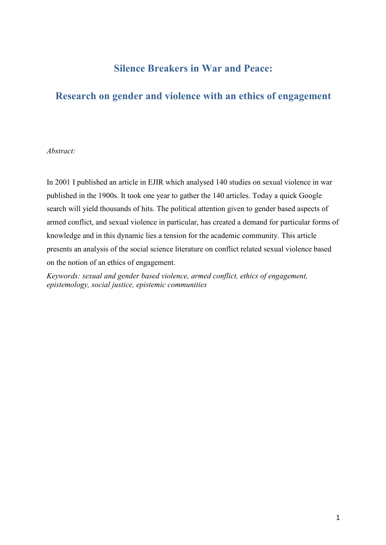## **Silence Breakers in War and Peace:**

# **Research on gender and violence with an ethics of engagement**

*Abstract:* 

In 2001 I published an article in EJIR which analysed 140 studies on sexual violence in war published in the 1900s. It took one year to gather the 140 articles. Today a quick Google search will yield thousands of hits. The political attention given to gender based aspects of armed conflict, and sexual violence in particular, has created a demand for particular forms of knowledge and in this dynamic lies a tension for the academic community. This article presents an analysis of the social science literature on conflict related sexual violence based on the notion of an ethics of engagement.

*Keywords: sexual and gender based violence, armed conflict, ethics of engagement, epistemology, social justice, epistemic communities*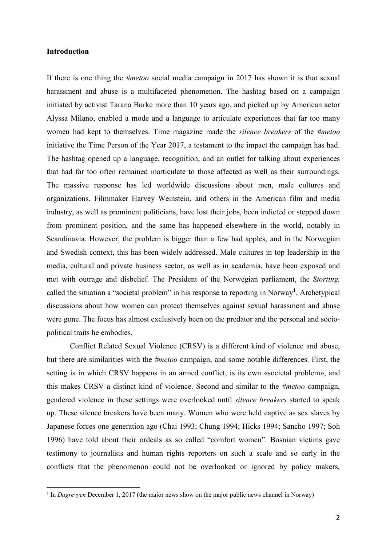## **Introduction**

<u>.</u>

If there is one thing the *#metoo* social media campaign in 2017 has shown it is that sexual harassment and abuse is a multifaceted phenomenon. The hashtag based on a campaign initiated by activist Tarana Burke more than 10 years ago, and picked up by American actor Alyssa Milano, enabled a mode and a language to articulate experiences that far too many women had kept to themselves. Time magazine made the *silence breakers* of the *#metoo* initiative the Time Person of the Year 2017, a testament to the impact the campaign has had. The hashtag opened up a language, recognition, and an outlet for talking about experiences that had far too often remained inarticulate to those affected as well as their surroundings. The massive response has led worldwide discussions about men, male cultures and organizations. Filmmaker Harvey Weinstein, and others in the American film and media industry, as well as prominent politicians, have lost their jobs, been indicted or stepped down from prominent position, and the same has happened elsewhere in the world, notably in Scandinavia. However, the problem is bigger than a few bad apples, and in the Norwegian and Swedish context, this has been widely addressed. Male cultures in top leadership in the media, cultural and private business sector, as well as in academia, have been exposed and met with outrage and disbelief. The President of the Norwegian parliament, the *Storting,* called the situation a "societal problem" in his response to reporting in Norway<sup>[1](#page-1-0)</sup>. Archetypical discussions about how women can protect themselves against sexual harassment and abuse were gone. The focus has almost exclusively been on the predator and the personal and sociopolitical traits he embodies.

Conflict Related Sexual Violence (CRSV) is a different kind of violence and abuse, but there are similarities with the *#metoo* campaign, and some notable differences. First, the setting is in which CRSV happens in an armed conflict, is its own «societal problem», and this makes CRSV a distinct kind of violence. Second and similar to the *#metoo* campaign, gendered violence in these settings were overlooked until *silence breakers* started to speak up. These silence breakers have been many. Women who were held captive as sex slaves by Japanese forces one generation ago (Chai 1993; Chung 1994; Hicks 1994; Sancho 1997; Soh 1996) have told about their ordeals as so called "comfort women". Bosnian victims gave testimony to journalists and human rights reporters on such a scale and so early in the conflicts that the phenomenon could not be overlooked or ignored by policy makers,

<span id="page-1-0"></span><sup>&</sup>lt;sup>1</sup> In *Dagrevyen* December 1, 2017 (the major news show on the major public news channel in Norway)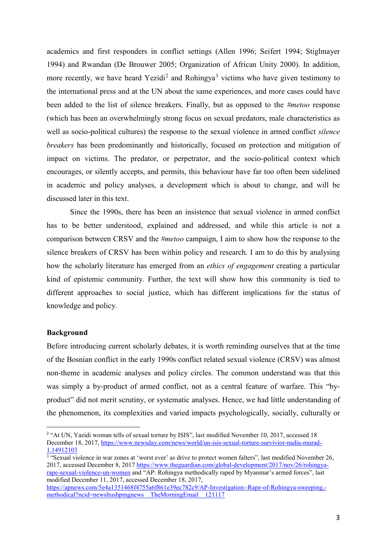academics and first responders in conflict settings (Allen 1996; Seifert 1994; Stiglmayer 1994) and Rwandan (De Brouwer 2005; Organization of African Unity 2000). In addition, more recently, we have heard Yezidi<sup>[2](#page-2-0)</sup> and Rohingya<sup>[3](#page-2-1)</sup> victims who have given testimony to the international press and at the UN about the same experiences, and more cases could have been added to the list of silence breakers. Finally, but as opposed to the *#metoo* response (which has been an overwhelmingly strong focus on sexual predators, male characteristics as well as socio-political cultures) the response to the sexual violence in armed conflict *silence breakers* has been predominantly and historically, focused on protection and mitigation of impact on victims. The predator, or perpetrator, and the socio-political context which encourages, or silently accepts, and permits, this behaviour have far too often been sidelined in academic and policy analyses, a development which is about to change, and will be discussed later in this text.

Since the 1990s, there has been an insistence that sexual violence in armed conflict has to be better understood, explained and addressed, and while this article is not a comparison between CRSV and the *#metoo* campaign, I aim to show how the response to the silence breakers of CRSV has been within policy and research. I am to do this by analysing how the scholarly literature has emerged from an *ethics of engagement* creating a particular kind of epistemic community. Further, the text will show how this community is tied to different approaches to social justice, which has different implications for the status of knowledge and policy.

## **Background**

Before introducing current scholarly debates, it is worth reminding ourselves that at the time of the Bosnian conflict in the early 1990s conflict related sexual violence (CRSV) was almost non-theme in academic analyses and policy circles. The common understand was that this was simply a by-product of armed conflict, not as a central feature of warfare. This "byproduct" did not merit scrutiny, or systematic analyses. Hence, we had little understanding of the phenomenon, its complexities and varied impacts psychologically, socially, culturally or

<span id="page-2-0"></span><sup>&</sup>lt;sup>2</sup> "At UN, Yazidi woman tells of sexual torture by ISIS", last modified November 10, 2017, accessed 18 December 18, 2017[, https://www.newsday.com/news/world/un-isis-sexual-torture-survivior-nadia-murad-](https://www.newsday.com/news/world/un-isis-sexual-torture-survivior-nadia-murad-1.14912103)[1.14912103](https://www.newsday.com/news/world/un-isis-sexual-torture-survivior-nadia-murad-1.14912103)

<span id="page-2-1"></span> $\frac{3}{3}$  "Sexual violence in war zones at 'worst ever' as drive to protect women falters", last modified November 26, 2017, accessed December 8, 201[7 https://www.theguardian.com/global-development/2017/nov/26/rohingya](https://www.theguardian.com/global-development/2017/nov/26/rohingya-rape-sexual-violence-un-women)[rape-sexual-violence-un-women](https://www.theguardian.com/global-development/2017/nov/26/rohingya-rape-sexual-violence-un-women) and "AP: Rohingya methodically raped by Myanmar's armed forces", last modified December 11, 2017, accessed December 18, 2017,

[https://apnews.com/5e4a1351468f4755a6f861e39ec782c9/AP-Investigation:-Rape-of-Rohingya-sweeping,](https://apnews.com/5e4a1351468f4755a6f861e39ec782c9/AP-Investigation:-Rape-of-Rohingya-sweeping,-methodical?ncid=newsltushpmgnews__TheMorningEmail__121117) [methodical?ncid=newsltushpmgnews\\_\\_TheMorningEmail\\_\\_121117](https://apnews.com/5e4a1351468f4755a6f861e39ec782c9/AP-Investigation:-Rape-of-Rohingya-sweeping,-methodical?ncid=newsltushpmgnews__TheMorningEmail__121117)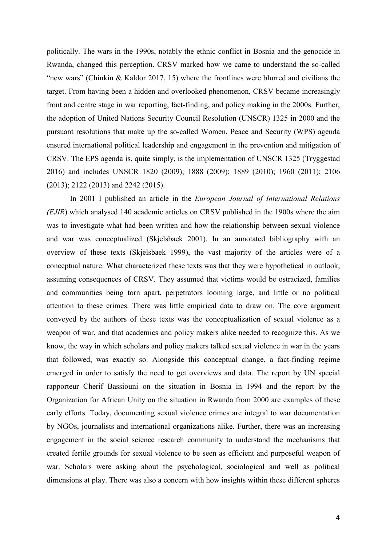politically. The wars in the 1990s, notably the ethnic conflict in Bosnia and the genocide in Rwanda, changed this perception. CRSV marked how we came to understand the so-called "new wars" (Chinkin & Kaldor 2017, 15) where the frontlines were blurred and civilians the target. From having been a hidden and overlooked phenomenon, CRSV became increasingly front and centre stage in war reporting, fact-finding, and policy making in the 2000s. Further, the adoption of United Nations Security Council Resolution (UNSCR) 1325 in 2000 and the pursuant resolutions that make up the so-called Women, Peace and Security (WPS) agenda ensured international political leadership and engagement in the prevention and mitigation of CRSV. The EPS agenda is, quite simply, is the implementation of UNSCR 1325 (Tryggestad 2016) and includes UNSCR 1820 (2009); 1888 (2009); 1889 (2010); 1960 (2011); 2106 (2013); 2122 (2013) and 2242 (2015).

In 2001 I published an article in the *European Journal of International Relations (EJIR*) which analysed 140 academic articles on CRSV published in the 1900s where the aim was to investigate what had been written and how the relationship between sexual violence and war was conceptualized (Skjelsbaek 2001). In an annotated bibliography with an overview of these texts (Skjelsbaek 1999), the vast majority of the articles were of a conceptual nature. What characterized these texts was that they were hypothetical in outlook, assuming consequences of CRSV. They assumed that victims would be ostracized, families and communities being torn apart, perpetrators looming large, and little or no political attention to these crimes. There was little empirical data to draw on. The core argument conveyed by the authors of these texts was the conceptualization of sexual violence as a weapon of war, and that academics and policy makers alike needed to recognize this. As we know, the way in which scholars and policy makers talked sexual violence in war in the years that followed, was exactly so. Alongside this conceptual change, a fact-finding regime emerged in order to satisfy the need to get overviews and data. The report by UN special rapporteur Cherif Bassiouni on the situation in Bosnia in 1994 and the report by the Organization for African Unity on the situation in Rwanda from 2000 are examples of these early efforts. Today, documenting sexual violence crimes are integral to war documentation by NGOs, journalists and international organizations alike. Further, there was an increasing engagement in the social science research community to understand the mechanisms that created fertile grounds for sexual violence to be seen as efficient and purposeful weapon of war. Scholars were asking about the psychological, sociological and well as political dimensions at play. There was also a concern with how insights within these different spheres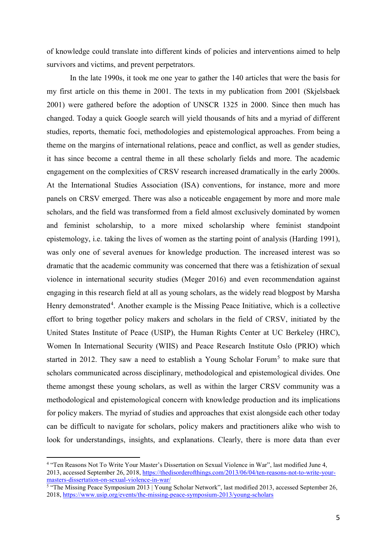of knowledge could translate into different kinds of policies and interventions aimed to help survivors and victims, and prevent perpetrators.

In the late 1990s, it took me one year to gather the 140 articles that were the basis for my first article on this theme in 2001. The texts in my publication from 2001 (Skjelsbaek 2001) were gathered before the adoption of UNSCR 1325 in 2000. Since then much has changed. Today a quick Google search will yield thousands of hits and a myriad of different studies, reports, thematic foci, methodologies and epistemological approaches. From being a theme on the margins of international relations, peace and conflict, as well as gender studies, it has since become a central theme in all these scholarly fields and more. The academic engagement on the complexities of CRSV research increased dramatically in the early 2000s. At the International Studies Association (ISA) conventions, for instance, more and more panels on CRSV emerged. There was also a noticeable engagement by more and more male scholars, and the field was transformed from a field almost exclusively dominated by women and feminist scholarship, to a more mixed scholarship where feminist standpoint epistemology, i.e. taking the lives of women as the starting point of analysis (Harding 1991), was only one of several avenues for knowledge production. The increased interest was so dramatic that the academic community was concerned that there was a fetishization of sexual violence in international security studies (Meger 2016) and even recommendation against engaging in this research field at all as young scholars, as the widely read blogpost by Marsha Henry demonstrated<sup>[4](#page-4-0)</sup>. Another example is the Missing Peace Initiative, which is a collective effort to bring together policy makers and scholars in the field of CRSV, initiated by the United States Institute of Peace (USIP), the Human Rights Center at UC Berkeley (HRC), Women In International Security (WIIS) and Peace Research Institute Oslo (PRIO) which started in 2012. They saw a need to establish a Young Scholar Forum<sup>[5](#page-4-1)</sup> to make sure that scholars communicated across disciplinary, methodological and epistemological divides. One theme amongst these young scholars, as well as within the larger CRSV community was a methodological and epistemological concern with knowledge production and its implications for policy makers. The myriad of studies and approaches that exist alongside each other today can be difficult to navigate for scholars, policy makers and practitioners alike who wish to look for understandings, insights, and explanations. Clearly, there is more data than ever

1

<span id="page-4-0"></span><sup>4</sup> "Ten Reasons Not To Write Your Master's Dissertation on Sexual Violence in War", last modified June 4, 2013, accessed September 26, 2018[, https://thedisorderofthings.com/2013/06/04/ten-reasons-not-to-write-your](https://thedisorderofthings.com/2013/06/04/ten-reasons-not-to-write-your-masters-dissertation-on-sexual-violence-in-war/)[masters-dissertation-on-sexual-violence-in-war/](https://thedisorderofthings.com/2013/06/04/ten-reasons-not-to-write-your-masters-dissertation-on-sexual-violence-in-war/)

<span id="page-4-1"></span><sup>&</sup>lt;sup>5</sup> "The Missing Peace Symposium 2013 | Young Scholar Network", last modified 2013, accessed September 26, 2018, <https://www.usip.org/events/the-missing-peace-symposium-2013/young-scholars>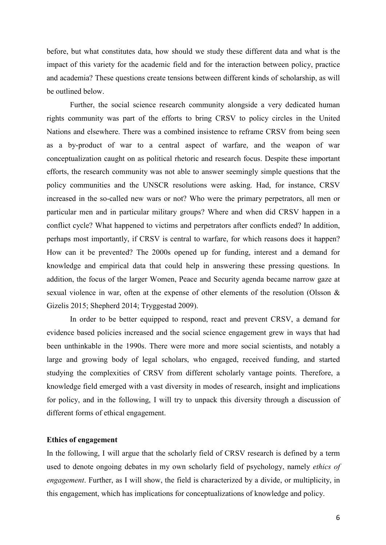before, but what constitutes data, how should we study these different data and what is the impact of this variety for the academic field and for the interaction between policy, practice and academia? These questions create tensions between different kinds of scholarship, as will be outlined below.

Further, the social science research community alongside a very dedicated human rights community was part of the efforts to bring CRSV to policy circles in the United Nations and elsewhere. There was a combined insistence to reframe CRSV from being seen as a by-product of war to a central aspect of warfare, and the weapon of war conceptualization caught on as political rhetoric and research focus. Despite these important efforts, the research community was not able to answer seemingly simple questions that the policy communities and the UNSCR resolutions were asking. Had, for instance, CRSV increased in the so-called new wars or not? Who were the primary perpetrators, all men or particular men and in particular military groups? Where and when did CRSV happen in a conflict cycle? What happened to victims and perpetrators after conflicts ended? In addition, perhaps most importantly, if CRSV is central to warfare, for which reasons does it happen? How can it be prevented? The 2000s opened up for funding, interest and a demand for knowledge and empirical data that could help in answering these pressing questions. In addition, the focus of the larger Women, Peace and Security agenda became narrow gaze at sexual violence in war, often at the expense of other elements of the resolution (Olsson & Gizelis 2015; Shepherd 2014; Tryggestad 2009).

In order to be better equipped to respond, react and prevent CRSV, a demand for evidence based policies increased and the social science engagement grew in ways that had been unthinkable in the 1990s. There were more and more social scientists, and notably a large and growing body of legal scholars, who engaged, received funding, and started studying the complexities of CRSV from different scholarly vantage points. Therefore, a knowledge field emerged with a vast diversity in modes of research, insight and implications for policy, and in the following, I will try to unpack this diversity through a discussion of different forms of ethical engagement.

## **Ethics of engagement**

In the following, I will argue that the scholarly field of CRSV research is defined by a term used to denote ongoing debates in my own scholarly field of psychology, namely *ethics of engagement*. Further, as I will show, the field is characterized by a divide, or multiplicity, in this engagement, which has implications for conceptualizations of knowledge and policy.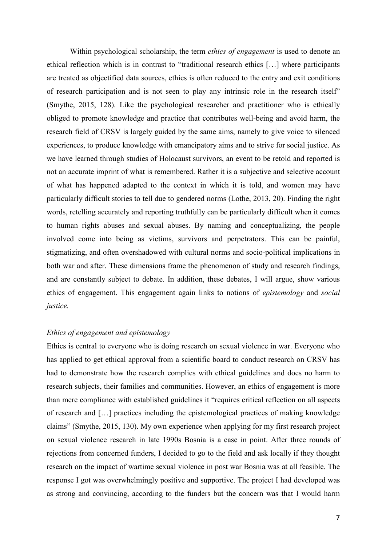Within psychological scholarship, the term *ethics of engagement* is used to denote an ethical reflection which is in contrast to "traditional research ethics […] where participants are treated as objectified data sources, ethics is often reduced to the entry and exit conditions of research participation and is not seen to play any intrinsic role in the research itself" (Smythe, 2015, 128). Like the psychological researcher and practitioner who is ethically obliged to promote knowledge and practice that contributes well-being and avoid harm, the research field of CRSV is largely guided by the same aims, namely to give voice to silenced experiences, to produce knowledge with emancipatory aims and to strive for social justice. As we have learned through studies of Holocaust survivors, an event to be retold and reported is not an accurate imprint of what is remembered. Rather it is a subjective and selective account of what has happened adapted to the context in which it is told, and women may have particularly difficult stories to tell due to gendered norms (Lothe, 2013, 20). Finding the right words, retelling accurately and reporting truthfully can be particularly difficult when it comes to human rights abuses and sexual abuses. By naming and conceptualizing, the people involved come into being as victims, survivors and perpetrators. This can be painful, stigmatizing, and often overshadowed with cultural norms and socio-political implications in both war and after. These dimensions frame the phenomenon of study and research findings, and are constantly subject to debate. In addition, these debates, I will argue, show various ethics of engagement. This engagement again links to notions of *epistemology* and *social justice.* 

## *Ethics of engagement and epistemology*

Ethics is central to everyone who is doing research on sexual violence in war. Everyone who has applied to get ethical approval from a scientific board to conduct research on CRSV has had to demonstrate how the research complies with ethical guidelines and does no harm to research subjects, their families and communities. However, an ethics of engagement is more than mere compliance with established guidelines it "requires critical reflection on all aspects of research and […] practices including the epistemological practices of making knowledge claims" (Smythe, 2015, 130). My own experience when applying for my first research project on sexual violence research in late 1990s Bosnia is a case in point. After three rounds of rejections from concerned funders, I decided to go to the field and ask locally if they thought research on the impact of wartime sexual violence in post war Bosnia was at all feasible. The response I got was overwhelmingly positive and supportive. The project I had developed was as strong and convincing, according to the funders but the concern was that I would harm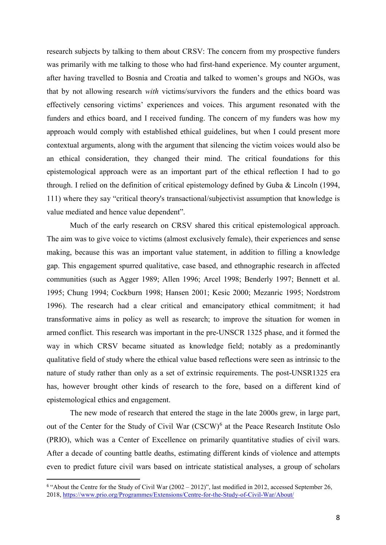research subjects by talking to them about CRSV: The concern from my prospective funders was primarily with me talking to those who had first-hand experience. My counter argument, after having travelled to Bosnia and Croatia and talked to women's groups and NGOs, was that by not allowing research *with* victims/survivors the funders and the ethics board was effectively censoring victims' experiences and voices. This argument resonated with the funders and ethics board, and I received funding. The concern of my funders was how my approach would comply with established ethical guidelines, but when I could present more contextual arguments, along with the argument that silencing the victim voices would also be an ethical consideration, they changed their mind. The critical foundations for this epistemological approach were as an important part of the ethical reflection I had to go through. I relied on the definition of critical epistemology defined by Guba & Lincoln (1994, 111) where they say "critical theory's transactional/subjectivist assumption that knowledge is value mediated and hence value dependent".

Much of the early research on CRSV shared this critical epistemological approach. The aim was to give voice to victims (almost exclusively female), their experiences and sense making, because this was an important value statement, in addition to filling a knowledge gap. This engagement spurred qualitative, case based, and ethnographic research in affected communities (such as Agger 1989; Allen 1996; Arcel 1998; Benderly 1997; Bennett et al. 1995; Chung 1994; Cockburn 1998; Hansen 2001; Kesic 2000; Mezanric 1995; Nordstrom 1996). The research had a clear critical and emancipatory ethical commitment; it had transformative aims in policy as well as research; to improve the situation for women in armed conflict. This research was important in the pre-UNSCR 1325 phase, and it formed the way in which CRSV became situated as knowledge field; notably as a predominantly qualitative field of study where the ethical value based reflections were seen as intrinsic to the nature of study rather than only as a set of extrinsic requirements. The post-UNSR1325 era has, however brought other kinds of research to the fore, based on a different kind of epistemological ethics and engagement.

The new mode of research that entered the stage in the late 2000s grew, in large part, out of the Center for the Study of Civil War (CSCW)<sup>[6](#page-7-0)</sup> at the Peace Research Institute Oslo (PRIO), which was a Center of Excellence on primarily quantitative studies of civil wars. After a decade of counting battle deaths, estimating different kinds of violence and attempts even to predict future civil wars based on intricate statistical analyses, a group of scholars

<span id="page-7-0"></span> $6$  "About the Centre for the Study of Civil War (2002 – 2012)", last modified in 2012, accessed September 26, 2018,<https://www.prio.org/Programmes/Extensions/Centre-for-the-Study-of-Civil-War/About/>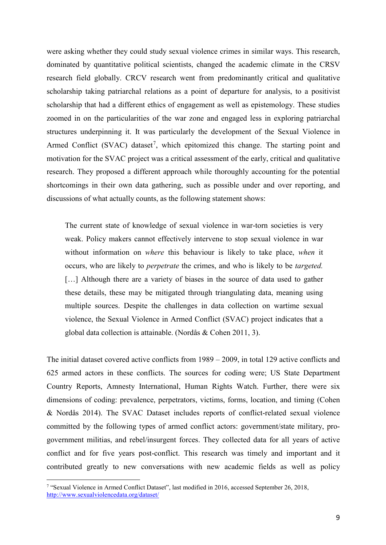were asking whether they could study sexual violence crimes in similar ways. This research, dominated by quantitative political scientists, changed the academic climate in the CRSV research field globally. CRCV research went from predominantly critical and qualitative scholarship taking patriarchal relations as a point of departure for analysis, to a positivist scholarship that had a different ethics of engagement as well as epistemology. These studies zoomed in on the particularities of the war zone and engaged less in exploring patriarchal structures underpinning it. It was particularly the development of the Sexual Violence in Armed Conflict (SVAC) dataset<sup>[7](#page-8-0)</sup>, which epitomized this change. The starting point and motivation for the SVAC project was a critical assessment of the early, critical and qualitative research. They proposed a different approach while thoroughly accounting for the potential shortcomings in their own data gathering, such as possible under and over reporting, and discussions of what actually counts, as the following statement shows:

The current state of knowledge of sexual violence in war-torn societies is very weak. Policy makers cannot effectively intervene to stop sexual violence in war without information on *where* this behaviour is likely to take place, *when* it occurs, who are likely to *perpetrate* the crimes, and who is likely to be *targeted.*  [...] Although there are a variety of biases in the source of data used to gather these details, these may be mitigated through triangulating data, meaning using multiple sources. Despite the challenges in data collection on wartime sexual violence, the Sexual Violence in Armed Conflict (SVAC) project indicates that a global data collection is attainable. (Nordås & Cohen 2011, 3).

The initial dataset covered active conflicts from 1989 – 2009, in total 129 active conflicts and 625 armed actors in these conflicts. The sources for coding were; US State Department Country Reports, Amnesty International, Human Rights Watch. Further, there were six dimensions of coding: prevalence, perpetrators, victims, forms, location, and timing (Cohen & Nordås 2014). The SVAC Dataset includes reports of conflict-related sexual violence committed by the following types of armed conflict actors: government/state military, progovernment militias, and rebel/insurgent forces. They collected data for all years of active conflict and for five years post-conflict. This research was timely and important and it contributed greatly to new conversations with new academic fields as well as policy

<u>.</u>

<span id="page-8-0"></span><sup>7</sup> "Sexual Violence in Armed Conflict Dataset", last modified in 2016, accessed September 26, 2018, <http://www.sexualviolencedata.org/dataset/>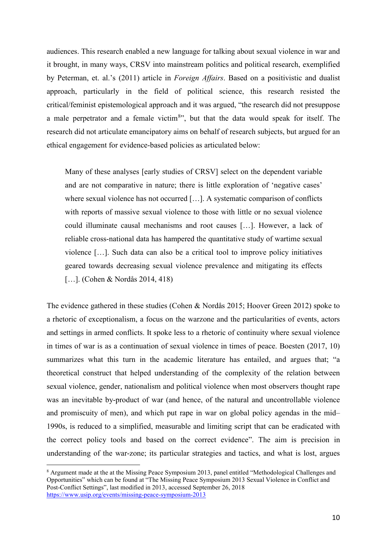audiences. This research enabled a new language for talking about sexual violence in war and it brought, in many ways, CRSV into mainstream politics and political research, exemplified by Peterman, et. al.'s (2011) article in *Foreign Affairs*. Based on a positivistic and dualist approach, particularly in the field of political science, this research resisted the critical/feminist epistemological approach and it was argued, "the research did not presuppose a male perpetrator and a female victim<sup>[8](#page-9-0)</sup>", but that the data would speak for itself. The research did not articulate emancipatory aims on behalf of research subjects, but argued for an ethical engagement for evidence-based policies as articulated below:

Many of these analyses [early studies of CRSV] select on the dependent variable and are not comparative in nature; there is little exploration of 'negative cases' where sexual violence has not occurred [...]. A systematic comparison of conflicts with reports of massive sexual violence to those with little or no sexual violence could illuminate causal mechanisms and root causes […]. However, a lack of reliable cross-national data has hampered the quantitative study of wartime sexual violence […]. Such data can also be a critical tool to improve policy initiatives geared towards decreasing sexual violence prevalence and mitigating its effects [...]. (Cohen & Nordås 2014, 418)

The evidence gathered in these studies (Cohen & Nordås 2015; Hoover Green 2012) spoke to a rhetoric of exceptionalism, a focus on the warzone and the particularities of events, actors and settings in armed conflicts. It spoke less to a rhetoric of continuity where sexual violence in times of war is as a continuation of sexual violence in times of peace. Boesten (2017, 10) summarizes what this turn in the academic literature has entailed, and argues that; "a theoretical construct that helped understanding of the complexity of the relation between sexual violence, gender, nationalism and political violence when most observers thought rape was an inevitable by-product of war (and hence, of the natural and uncontrollable violence and promiscuity of men), and which put rape in war on global policy agendas in the mid– 1990s, is reduced to a simplified, measurable and limiting script that can be eradicated with the correct policy tools and based on the correct evidence". The aim is precision in understanding of the war-zone; its particular strategies and tactics, and what is lost, argues

1

<span id="page-9-0"></span><sup>8</sup> Argument made at the at the Missing Peace Symposium 2013, panel entitled "Methodological Challenges and Opportunities" which can be found at "The Missing Peace Symposium 2013 Sexual Violence in Conflict and Post-Conflict Settings", last modified in 2013, accessed September 26, 2018 <https://www.usip.org/events/missing-peace-symposium-2013>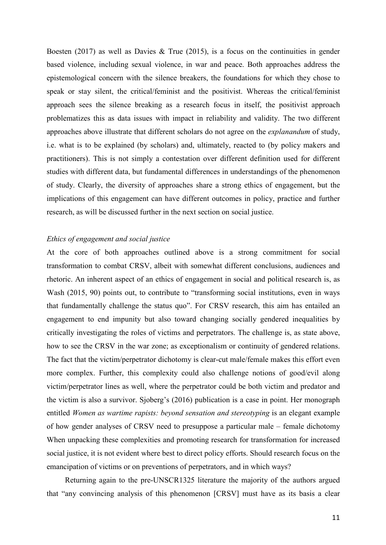Boesten (2017) as well as Davies & True (2015), is a focus on the continuities in gender based violence, including sexual violence, in war and peace. Both approaches address the epistemological concern with the silence breakers, the foundations for which they chose to speak or stay silent, the critical/feminist and the positivist. Whereas the critical/feminist approach sees the silence breaking as a research focus in itself, the positivist approach problematizes this as data issues with impact in reliability and validity. The two different approaches above illustrate that different scholars do not agree on the *explanandum* of study, i.e. what is to be explained (by scholars) and, ultimately, reacted to (by policy makers and practitioners). This is not simply a contestation over different definition used for different studies with different data, but fundamental differences in understandings of the phenomenon of study. Clearly, the diversity of approaches share a strong ethics of engagement, but the implications of this engagement can have different outcomes in policy, practice and further research, as will be discussed further in the next section on social justice.

## *Ethics of engagement and social justice*

At the core of both approaches outlined above is a strong commitment for social transformation to combat CRSV, albeit with somewhat different conclusions, audiences and rhetoric. An inherent aspect of an ethics of engagement in social and political research is, as Wash (2015, 90) points out, to contribute to "transforming social institutions, even in ways that fundamentally challenge the status quo". For CRSV research, this aim has entailed an engagement to end impunity but also toward changing socially gendered inequalities by critically investigating the roles of victims and perpetrators. The challenge is, as state above, how to see the CRSV in the war zone; as exceptionalism or continuity of gendered relations. The fact that the victim/perpetrator dichotomy is clear-cut male/female makes this effort even more complex. Further, this complexity could also challenge notions of good/evil along victim/perpetrator lines as well, where the perpetrator could be both victim and predator and the victim is also a survivor. Sjoberg's (2016) publication is a case in point. Her monograph entitled *Women as wartime rapists: beyond sensation and stereotyping* is an elegant example of how gender analyses of CRSV need to presuppose a particular male – female dichotomy When unpacking these complexities and promoting research for transformation for increased social justice, it is not evident where best to direct policy efforts. Should research focus on the emancipation of victims or on preventions of perpetrators, and in which ways?

Returning again to the pre-UNSCR1325 literature the majority of the authors argued that "any convincing analysis of this phenomenon [CRSV] must have as its basis a clear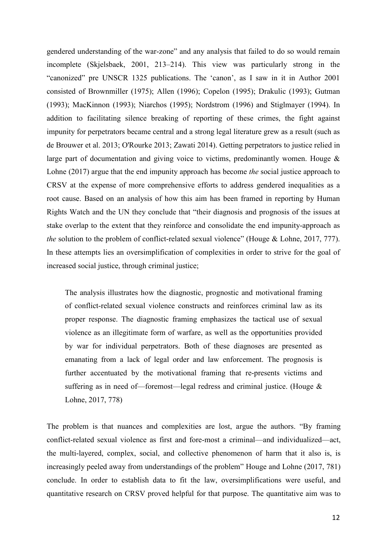gendered understanding of the war-zone" and any analysis that failed to do so would remain incomplete (Skjelsbaek, 2001, 213–214). This view was particularly strong in the "canonized" pre UNSCR 1325 publications. The 'canon', as I saw in it in Author 2001 consisted of Brownmiller (1975); Allen (1996); Copelon (1995); Drakulic (1993); Gutman (1993); MacKinnon (1993); Niarchos (1995); Nordstrom (1996) and Stiglmayer (1994). In addition to facilitating silence breaking of reporting of these crimes, the fight against impunity for perpetrators became central and a strong legal literature grew as a result (such as de Brouwer et al. 2013; O'Rourke 2013; Zawati 2014). Getting perpetrators to justice relied in large part of documentation and giving voice to victims, predominantly women. Houge & Lohne (2017) argue that the end impunity approach has become *the* social justice approach to CRSV at the expense of more comprehensive efforts to address gendered inequalities as a root cause. Based on an analysis of how this aim has been framed in reporting by Human Rights Watch and the UN they conclude that "their diagnosis and prognosis of the issues at stake overlap to the extent that they reinforce and consolidate the end impunity-approach as *the* solution to the problem of conflict-related sexual violence" (Houge & Lohne, 2017, 777). In these attempts lies an oversimplification of complexities in order to strive for the goal of increased social justice, through criminal justice;

The analysis illustrates how the diagnostic, prognostic and motivational framing of conflict-related sexual violence constructs and reinforces criminal law as its proper response. The diagnostic framing emphasizes the tactical use of sexual violence as an illegitimate form of warfare, as well as the opportunities provided by war for individual perpetrators. Both of these diagnoses are presented as emanating from a lack of legal order and law enforcement. The prognosis is further accentuated by the motivational framing that re-presents victims and suffering as in need of—foremost—legal redress and criminal justice. (Houge & Lohne, 2017, 778)

The problem is that nuances and complexities are lost, argue the authors. "By framing conflict-related sexual violence as first and fore-most a criminal—and individualized—act, the multi-layered, complex, social, and collective phenomenon of harm that it also is, is increasingly peeled away from understandings of the problem" Houge and Lohne (2017, 781) conclude. In order to establish data to fit the law, oversimplifications were useful, and quantitative research on CRSV proved helpful for that purpose. The quantitative aim was to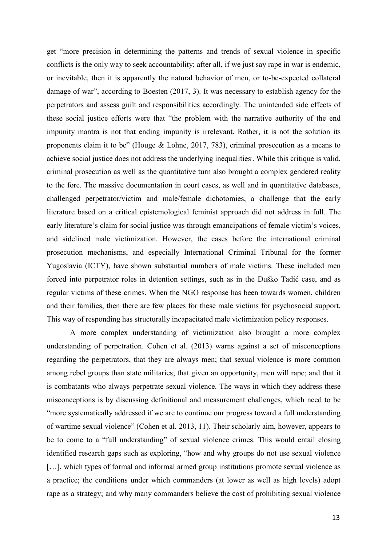get "more precision in determining the patterns and trends of sexual violence in specific conflicts is the only way to seek accountability; after all, if we just say rape in war is endemic, or inevitable, then it is apparently the natural behavior of men, or to-be-expected collateral damage of war", according to Boesten (2017, 3). It was necessary to establish agency for the perpetrators and assess guilt and responsibilities accordingly. The unintended side effects of these social justice efforts were that "the problem with the narrative authority of the end impunity mantra is not that ending impunity is irrelevant. Rather, it is not the solution its proponents claim it to be" (Houge & Lohne, 2017, 783), criminal prosecution as a means to achieve social justice does not address the underlying inequalities. . While this critique is valid, criminal prosecution as well as the quantitative turn also brought a complex gendered reality to the fore. The massive documentation in court cases, as well and in quantitative databases, challenged perpetrator/victim and male/female dichotomies, a challenge that the early literature based on a critical epistemological feminist approach did not address in full. The early literature's claim for social justice was through emancipations of female victim's voices, and sidelined male victimization. However, the cases before the international criminal prosecution mechanisms, and especially International Criminal Tribunal for the former Yugoslavia (ICTY), have shown substantial numbers of male victims. These included men forced into perpetrator roles in detention settings, such as in the Duško Tadić case, and as regular victims of these crimes. When the NGO response has been towards women, children and their families, then there are few places for these male victims for psychosocial support. This way of responding has structurally incapacitated male victimization policy responses.

A more complex understanding of victimization also brought a more complex understanding of perpetration. Cohen et al. (2013) warns against a set of misconceptions regarding the perpetrators, that they are always men; that sexual violence is more common among rebel groups than state militaries; that given an opportunity, men will rape; and that it is combatants who always perpetrate sexual violence. The ways in which they address these misconceptions is by discussing definitional and measurement challenges, which need to be "more systematically addressed if we are to continue our progress toward a full understanding of wartime sexual violence" (Cohen et al. 2013, 11). Their scholarly aim, however, appears to be to come to a "full understanding" of sexual violence crimes. This would entail closing identified research gaps such as exploring, "how and why groups do not use sexual violence [...], which types of formal and informal armed group institutions promote sexual violence as a practice; the conditions under which commanders (at lower as well as high levels) adopt rape as a strategy; and why many commanders believe the cost of prohibiting sexual violence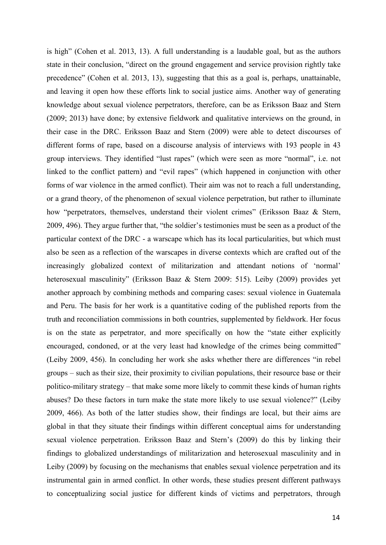is high" (Cohen et al. 2013, 13). A full understanding is a laudable goal, but as the authors state in their conclusion, "direct on the ground engagement and service provision rightly take precedence" (Cohen et al. 2013, 13), suggesting that this as a goal is, perhaps, unattainable, and leaving it open how these efforts link to social justice aims. Another way of generating knowledge about sexual violence perpetrators, therefore, can be as Eriksson Baaz and Stern (2009; 2013) have done; by extensive fieldwork and qualitative interviews on the ground, in their case in the DRC. Eriksson Baaz and Stern (2009) were able to detect discourses of different forms of rape, based on a discourse analysis of interviews with 193 people in 43 group interviews. They identified "lust rapes" (which were seen as more "normal", i.e. not linked to the conflict pattern) and "evil rapes" (which happened in conjunction with other forms of war violence in the armed conflict). Their aim was not to reach a full understanding, or a grand theory, of the phenomenon of sexual violence perpetration, but rather to illuminate how "perpetrators, themselves, understand their violent crimes" (Eriksson Baaz & Stern, 2009, 496). They argue further that, "the soldier's testimonies must be seen as a product of the particular context of the DRC - a warscape which has its local particularities, but which must also be seen as a reflection of the warscapes in diverse contexts which are crafted out of the increasingly globalized context of militarization and attendant notions of 'normal' heterosexual masculinity" (Eriksson Baaz & Stern 2009: 515). Leiby (2009) provides yet another approach by combining methods and comparing cases: sexual violence in Guatemala and Peru. The basis for her work is a quantitative coding of the published reports from the truth and reconciliation commissions in both countries, supplemented by fieldwork. Her focus is on the state as perpetrator, and more specifically on how the "state either explicitly encouraged, condoned, or at the very least had knowledge of the crimes being committed" (Leiby 2009, 456). In concluding her work she asks whether there are differences "in rebel groups – such as their size, their proximity to civilian populations, their resource base or their politico-military strategy – that make some more likely to commit these kinds of human rights abuses? Do these factors in turn make the state more likely to use sexual violence?" (Leiby 2009, 466). As both of the latter studies show, their findings are local, but their aims are global in that they situate their findings within different conceptual aims for understanding sexual violence perpetration. Eriksson Baaz and Stern's (2009) do this by linking their findings to globalized understandings of militarization and heterosexual masculinity and in Leiby (2009) by focusing on the mechanisms that enables sexual violence perpetration and its instrumental gain in armed conflict. In other words, these studies present different pathways to conceptualizing social justice for different kinds of victims and perpetrators, through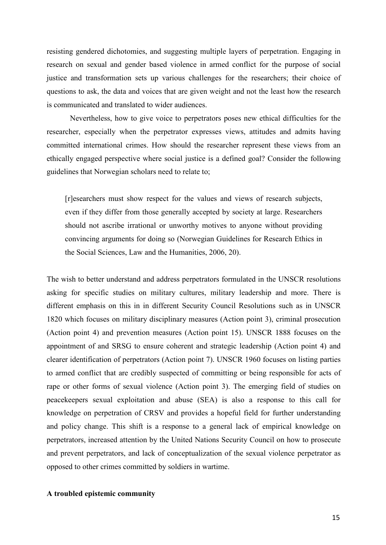resisting gendered dichotomies, and suggesting multiple layers of perpetration. Engaging in research on sexual and gender based violence in armed conflict for the purpose of social justice and transformation sets up various challenges for the researchers; their choice of questions to ask, the data and voices that are given weight and not the least how the research is communicated and translated to wider audiences.

Nevertheless, how to give voice to perpetrators poses new ethical difficulties for the researcher, especially when the perpetrator expresses views, attitudes and admits having committed international crimes. How should the researcher represent these views from an ethically engaged perspective where social justice is a defined goal? Consider the following guidelines that Norwegian scholars need to relate to;

[r]esearchers must show respect for the values and views of research subjects, even if they differ from those generally accepted by society at large. Researchers should not ascribe irrational or unworthy motives to anyone without providing convincing arguments for doing so (Norwegian Guidelines for Research Ethics in the Social Sciences, Law and the Humanities, 2006, 20).

The wish to better understand and address perpetrators formulated in the UNSCR resolutions asking for specific studies on military cultures, military leadership and more. There is different emphasis on this in in different Security Council Resolutions such as in UNSCR 1820 which focuses on military disciplinary measures (Action point 3), criminal prosecution (Action point 4) and prevention measures (Action point 15). UNSCR 1888 focuses on the appointment of and SRSG to ensure coherent and strategic leadership (Action point 4) and clearer identification of perpetrators (Action point 7). UNSCR 1960 focuses on listing parties to armed conflict that are credibly suspected of committing or being responsible for acts of rape or other forms of sexual violence (Action point 3). The emerging field of studies on peacekeepers sexual exploitation and abuse (SEA) is also a response to this call for knowledge on perpetration of CRSV and provides a hopeful field for further understanding and policy change. This shift is a response to a general lack of empirical knowledge on perpetrators, increased attention by the United Nations Security Council on how to prosecute and prevent perpetrators, and lack of conceptualization of the sexual violence perpetrator as opposed to other crimes committed by soldiers in wartime.

## **A troubled epistemic community**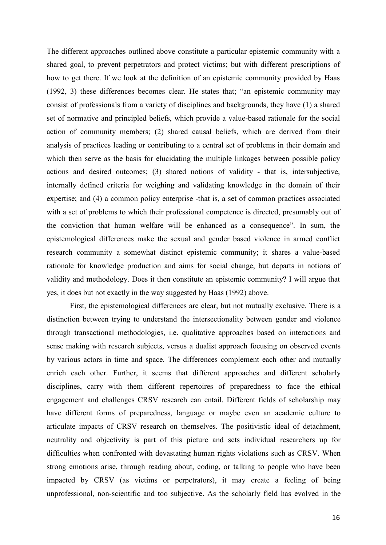The different approaches outlined above constitute a particular epistemic community with a shared goal, to prevent perpetrators and protect victims; but with different prescriptions of how to get there. If we look at the definition of an epistemic community provided by Haas (1992, 3) these differences becomes clear. He states that; "an epistemic community may consist of professionals from a variety of disciplines and backgrounds, they have (1) a shared set of normative and principled beliefs, which provide a value-based rationale for the social action of community members; (2) shared causal beliefs, which are derived from their analysis of practices leading or contributing to a central set of problems in their domain and which then serve as the basis for elucidating the multiple linkages between possible policy actions and desired outcomes; (3) shared notions of validity - that is, intersubjective, internally defined criteria for weighing and validating knowledge in the domain of their expertise; and (4) a common policy enterprise -that is, a set of common practices associated with a set of problems to which their professional competence is directed, presumably out of the conviction that human welfare will be enhanced as a consequence". In sum, the epistemological differences make the sexual and gender based violence in armed conflict research community a somewhat distinct epistemic community; it shares a value-based rationale for knowledge production and aims for social change, but departs in notions of validity and methodology. Does it then constitute an epistemic community? I will argue that yes, it does but not exactly in the way suggested by Haas (1992) above.

First, the epistemological differences are clear, but not mutually exclusive. There is a distinction between trying to understand the intersectionality between gender and violence through transactional methodologies, i.e. qualitative approaches based on interactions and sense making with research subjects, versus a dualist approach focusing on observed events by various actors in time and space. The differences complement each other and mutually enrich each other. Further, it seems that different approaches and different scholarly disciplines, carry with them different repertoires of preparedness to face the ethical engagement and challenges CRSV research can entail. Different fields of scholarship may have different forms of preparedness, language or maybe even an academic culture to articulate impacts of CRSV research on themselves. The positivistic ideal of detachment, neutrality and objectivity is part of this picture and sets individual researchers up for difficulties when confronted with devastating human rights violations such as CRSV. When strong emotions arise, through reading about, coding, or talking to people who have been impacted by CRSV (as victims or perpetrators), it may create a feeling of being unprofessional, non-scientific and too subjective. As the scholarly field has evolved in the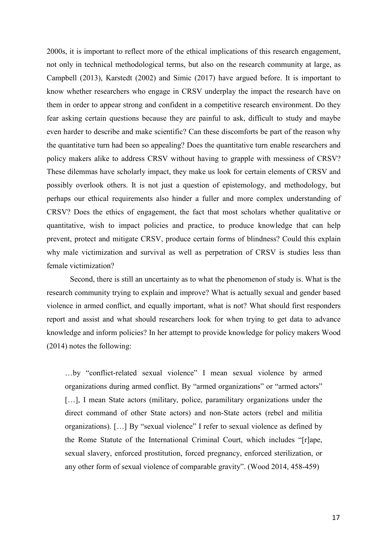2000s, it is important to reflect more of the ethical implications of this research engagement, not only in technical methodological terms, but also on the research community at large, as Campbell (2013), Karstedt (2002) and Simic (2017) have argued before. It is important to know whether researchers who engage in CRSV underplay the impact the research have on them in order to appear strong and confident in a competitive research environment. Do they fear asking certain questions because they are painful to ask, difficult to study and maybe even harder to describe and make scientific? Can these discomforts be part of the reason why the quantitative turn had been so appealing? Does the quantitative turn enable researchers and policy makers alike to address CRSV without having to grapple with messiness of CRSV? These dilemmas have scholarly impact, they make us look for certain elements of CRSV and possibly overlook others. It is not just a question of epistemology, and methodology, but perhaps our ethical requirements also hinder a fuller and more complex understanding of CRSV? Does the ethics of engagement, the fact that most scholars whether qualitative or quantitative, wish to impact policies and practice, to produce knowledge that can help prevent, protect and mitigate CRSV, produce certain forms of blindness? Could this explain why male victimization and survival as well as perpetration of CRSV is studies less than female victimization?

Second, there is still an uncertainty as to what the phenomenon of study is. What is the research community trying to explain and improve? What is actually sexual and gender based violence in armed conflict, and equally important, what is not? What should first responders report and assist and what should researchers look for when trying to get data to advance knowledge and inform policies? In her attempt to provide knowledge for policy makers Wood (2014) notes the following:

…by "conflict-related sexual violence" I mean sexual violence by armed organizations during armed conflict. By "armed organizations" or "armed actors" [...], I mean State actors (military, police, paramilitary organizations under the direct command of other State actors) and non-State actors (rebel and militia organizations). […] By "sexual violence" I refer to sexual violence as defined by the Rome Statute of the International Criminal Court, which includes "[r]ape, sexual slavery, enforced prostitution, forced pregnancy, enforced sterilization, or any other form of sexual violence of comparable gravity". (Wood 2014, 458-459)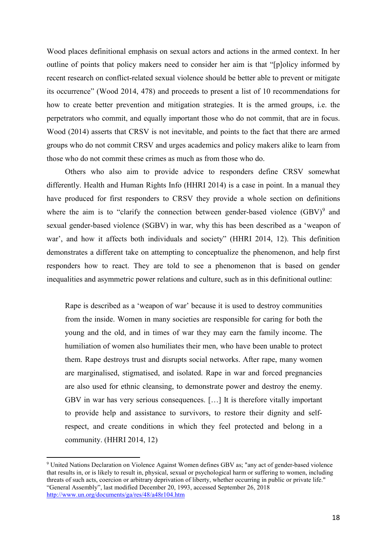Wood places definitional emphasis on sexual actors and actions in the armed context. In her outline of points that policy makers need to consider her aim is that "[p]olicy informed by recent research on conflict-related sexual violence should be better able to prevent or mitigate its occurrence" (Wood 2014, 478) and proceeds to present a list of 10 recommendations for how to create better prevention and mitigation strategies. It is the armed groups, i.e. the perpetrators who commit, and equally important those who do not commit, that are in focus. Wood (2014) asserts that CRSV is not inevitable, and points to the fact that there are armed groups who do not commit CRSV and urges academics and policy makers alike to learn from those who do not commit these crimes as much as from those who do.

Others who also aim to provide advice to responders define CRSV somewhat differently. Health and Human Rights Info (HHRI 2014) is a case in point. In a manual they have produced for first responders to CRSV they provide a whole section on definitions where the aim is to "clarify the connection between gender-based violence  $(GBV)^9$  $(GBV)^9$  and sexual gender-based violence (SGBV) in war, why this has been described as a 'weapon of war', and how it affects both individuals and society" (HHRI 2014, 12). This definition demonstrates a different take on attempting to conceptualize the phenomenon, and help first responders how to react. They are told to see a phenomenon that is based on gender inequalities and asymmetric power relations and culture, such as in this definitional outline:

Rape is described as a 'weapon of war' because it is used to destroy communities from the inside. Women in many societies are responsible for caring for both the young and the old, and in times of war they may earn the family income. The humiliation of women also humiliates their men, who have been unable to protect them. Rape destroys trust and disrupts social networks. After rape, many women are marginalised, stigmatised, and isolated. Rape in war and forced pregnancies are also used for ethnic cleansing, to demonstrate power and destroy the enemy. GBV in war has very serious consequences. […] It is therefore vitally important to provide help and assistance to survivors, to restore their dignity and selfrespect, and create conditions in which they feel protected and belong in a community. (HHRI 2014, 12)

1

<span id="page-17-0"></span><sup>9</sup> United Nations Declaration on Violence Against Women defines GBV as; "any act of gender-based violence that results in, or is likely to result in, physical, sexual or psychological harm or suffering to women, including threats of such acts, coercion or arbitrary deprivation of liberty, whether occurring in public or private life." "General Assembly", last modified December 20, 1993, accessed September 26, 2018 <http://www.un.org/documents/ga/res/48/a48r104.htm>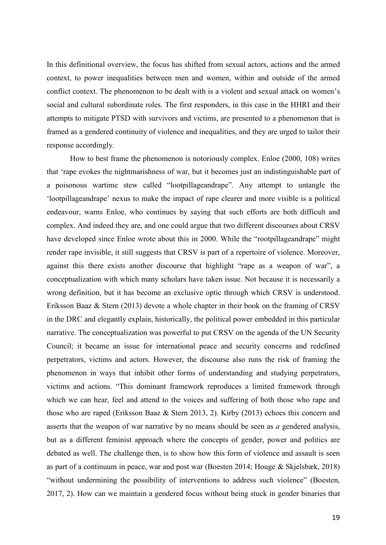In this definitional overview, the focus has shifted from sexual actors, actions and the armed context, to power inequalities between men and women, within and outside of the armed conflict context. The phenomenon to be dealt with is a violent and sexual attack on women's social and cultural subordinate roles. The first responders, in this case in the HHRI and their attempts to mitigate PTSD with survivors and victims, are presented to a phenomenon that is framed as a gendered continuity of violence and inequalities, and they are urged to tailor their response accordingly.

How to best frame the phenomenon is notoriously complex. Enloe (2000, 108) writes that 'rape evokes the nightmarishness of war, but it becomes just an indistinguishable part of a poisonous wartime stew called "lootpillageandrape". Any attempt to untangle the 'lootpillageandrape' nexus to make the impact of rape clearer and more visible is a political endeavour, warns Enloe, who continues by saying that such efforts are both difficult and complex. And indeed they are, and one could argue that two different discourses about CRSV have developed since Enloe wrote about this in 2000. While the "rootpillageandrape" might render rape invisible, it still suggests that CRSV is part of a repertoire of violence. Moreover, against this there exists another discourse that highlight "rape as a weapon of war", a conceptualization with which many scholars have taken issue. Not because it is necessarily a wrong definition, but it has become an exclusive optic through which CRSV is understood. Eriksson Baaz & Stern (2013) devote a whole chapter in their book on the framing of CRSV in the DRC and elegantly explain, historically, the political power embedded in this particular narrative. The conceptualization was powerful to put CRSV on the agenda of the UN Security Council; it became an issue for international peace and security concerns and redefined perpetrators, victims and actors. However, the discourse also runs the risk of framing the phenomenon in ways that inhibit other forms of understanding and studying perpetrators, victims and actions. "This dominant framework reproduces a limited framework through which we can hear, feel and attend to the voices and suffering of both those who rape and those who are raped (Eriksson Baaz & Stern 2013, 2). Kirby (2013) echoes this concern and asserts that the weapon of war narrative by no means should be seen as *a* gendered analysis, but as a different feminist approach where the concepts of gender, power and politics are debated as well. The challenge then, is to show how this form of violence and assault is seen as part of a continuum in peace, war and post war (Boesten 2014; Houge & Skjelsbæk, 2018) "without undermining the possibility of interventions to address such violence" (Boesten, 2017, 2). How can we maintain a gendered focus without being stuck in gender binaries that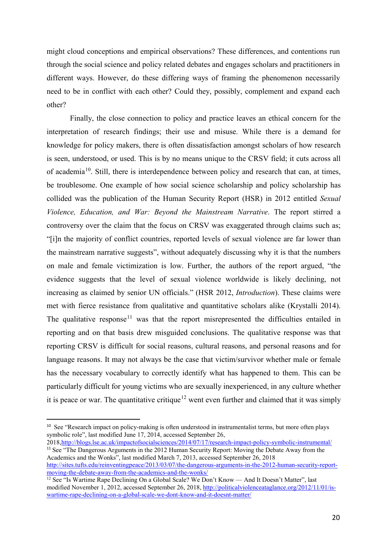might cloud conceptions and empirical observations? These differences, and contentions run through the social science and policy related debates and engages scholars and practitioners in different ways. However, do these differing ways of framing the phenomenon necessarily need to be in conflict with each other? Could they, possibly, complement and expand each other?

Finally, the close connection to policy and practice leaves an ethical concern for the interpretation of research findings; their use and misuse. While there is a demand for knowledge for policy makers, there is often dissatisfaction amongst scholars of how research is seen, understood, or used. This is by no means unique to the CRSV field; it cuts across all of academia<sup>10</sup>. Still, there is interdependence between policy and research that can, at times, be troublesome. One example of how social science scholarship and policy scholarship has collided was the publication of the Human Security Report (HSR) in 2012 entitled *Sexual Violence, Education, and War: Beyond the Mainstream Narrative*. The report stirred a controversy over the claim that the focus on CRSV was exaggerated through claims such as; "[i]n the majority of conflict countries, reported levels of sexual violence are far lower than the mainstream narrative suggests", without adequately discussing why it is that the numbers on male and female victimization is low. Further, the authors of the report argued, "the evidence suggests that the level of sexual violence worldwide is likely declining, not increasing as claimed by senior UN officials." (HSR 2012, *Introduction*). These claims were met with fierce resistance from qualitative and quantitative scholars alike (Krystalli 2014). The qualitative response<sup>[11](#page-19-1)</sup> was that the report misrepresented the difficulties entailed in reporting and on that basis drew misguided conclusions. The qualitative response was that reporting CRSV is difficult for social reasons, cultural reasons, and personal reasons and for language reasons. It may not always be the case that victim/survivor whether male or female has the necessary vocabulary to correctly identify what has happened to them. This can be particularly difficult for young victims who are sexually inexperienced, in any culture whether it is peace or war. The quantitative critique<sup>[12](#page-19-2)</sup> went even further and claimed that it was simply

<span id="page-19-1"></span>201[8,http://blogs.lse.ac.uk/impactofsocialsciences/2014/07/17/research-impact-policy-symbolic-instrumental/](http://blogs.lse.ac.uk/impactofsocialsciences/2014/07/17/research-impact-policy-symbolic-instrumental/) <sup>11</sup> See "The Dangerous Arguments in the 2012 Human Security Report: Moving the Debate Away from the Academics and the Wonks", last modified March 7, 2013, accessed September 26, 2018 [http://sites.tufts.edu/reinventingpeace/2013/03/07/the-dangerous-arguments-in-the-2012-human-security-report-](http://sites.tufts.edu/reinventingpeace/2013/03/07/the-dangerous-arguments-in-the-2012-human-security-report-moving-the-debate-away-from-the-academics-and-the-wonks/)

<span id="page-19-0"></span><sup>&</sup>lt;sup>10</sup> See "Research impact on policy-making is often understood in instrumentalist terms, but more often plays symbolic role", last modified June 17, 2014, accessed September 26,

[moving-the-debate-away-from-the-academics-and-the-wonks/](http://sites.tufts.edu/reinventingpeace/2013/03/07/the-dangerous-arguments-in-the-2012-human-security-report-moving-the-debate-away-from-the-academics-and-the-wonks/)  $\frac{12}{12}$  See "Is Wartime Rape Declining On a Global Scale? We Don't Know — And It Doesn't Matter", last

<span id="page-19-2"></span>modified November 1, 2012, accessed September 26, 2018, [http://politicalviolenceataglance.org/2012/11/01/is](http://politicalviolenceataglance.org/2012/11/01/is-wartime-rape-declining-on-a-global-scale-we-dont-know-and-it-doesnt-matter/)[wartime-rape-declining-on-a-global-scale-we-dont-know-and-it-doesnt-matter/](http://politicalviolenceataglance.org/2012/11/01/is-wartime-rape-declining-on-a-global-scale-we-dont-know-and-it-doesnt-matter/)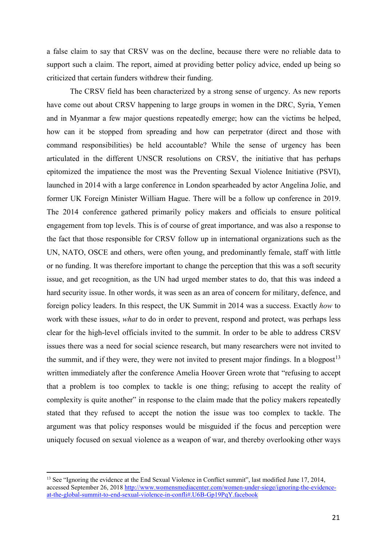a false claim to say that CRSV was on the decline, because there were no reliable data to support such a claim. The report, aimed at providing better policy advice, ended up being so criticized that certain funders withdrew their funding.

The CRSV field has been characterized by a strong sense of urgency. As new reports have come out about CRSV happening to large groups in women in the DRC, Syria, Yemen and in Myanmar a few major questions repeatedly emerge; how can the victims be helped, how can it be stopped from spreading and how can perpetrator (direct and those with command responsibilities) be held accountable? While the sense of urgency has been articulated in the different UNSCR resolutions on CRSV, the initiative that has perhaps epitomized the impatience the most was the Preventing Sexual Violence Initiative (PSVI), launched in 2014 with a large conference in London spearheaded by actor Angelina Jolie, and former UK Foreign Minister William Hague. There will be a follow up conference in 2019. The 2014 conference gathered primarily policy makers and officials to ensure political engagement from top levels. This is of course of great importance, and was also a response to the fact that those responsible for CRSV follow up in international organizations such as the UN, NATO, OSCE and others, were often young, and predominantly female, staff with little or no funding. It was therefore important to change the perception that this was a soft security issue, and get recognition, as the UN had urged member states to do, that this was indeed a hard security issue. In other words, it was seen as an area of concern for military, defence, and foreign policy leaders. In this respect, the UK Summit in 2014 was a success. Exactly *how* to work with these issues, *what* to do in order to prevent, respond and protect, was perhaps less clear for the high-level officials invited to the summit. In order to be able to address CRSV issues there was a need for social science research, but many researchers were not invited to the summit, and if they were, they were not invited to present major findings. In a blogpost<sup>[13](#page-20-0)</sup> written immediately after the conference Amelia Hoover Green wrote that "refusing to accept that a problem is too complex to tackle is one thing; refusing to accept the reality of complexity is quite another" in response to the claim made that the policy makers repeatedly stated that they refused to accept the notion the issue was too complex to tackle. The argument was that policy responses would be misguided if the focus and perception were uniquely focused on sexual violence as a weapon of war, and thereby overlooking other ways

1

<span id="page-20-0"></span><sup>&</sup>lt;sup>13</sup> See "Ignoring the evidence at the End Sexual Violence in Conflict summit", last modified June 17, 2014, accessed September 26, 2018 [http://www.womensmediacenter.com/women-under-siege/ignoring-the-evidence](http://www.womensmediacenter.com/women-under-siege/ignoring-the-evidence-at-the-global-summit-to-end-sexual-violence-in-confli#.U6B-Gp19PqY.facebook)[at-the-global-summit-to-end-sexual-violence-in-confli#.U6B-Gp19PqY.facebook](http://www.womensmediacenter.com/women-under-siege/ignoring-the-evidence-at-the-global-summit-to-end-sexual-violence-in-confli#.U6B-Gp19PqY.facebook)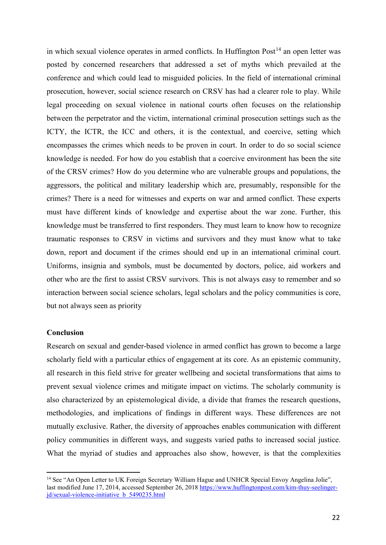in which sexual violence operates in armed conflicts. In Huffington  $Post<sup>14</sup>$  $Post<sup>14</sup>$  $Post<sup>14</sup>$  an open letter was posted by concerned researchers that addressed a set of myths which prevailed at the conference and which could lead to misguided policies. In the field of international criminal prosecution, however, social science research on CRSV has had a clearer role to play. While legal proceeding on sexual violence in national courts often focuses on the relationship between the perpetrator and the victim, international criminal prosecution settings such as the ICTY, the ICTR, the ICC and others, it is the contextual, and coercive, setting which encompasses the crimes which needs to be proven in court. In order to do so social science knowledge is needed. For how do you establish that a coercive environment has been the site of the CRSV crimes? How do you determine who are vulnerable groups and populations, the aggressors, the political and military leadership which are, presumably, responsible for the crimes? There is a need for witnesses and experts on war and armed conflict. These experts must have different kinds of knowledge and expertise about the war zone. Further, this knowledge must be transferred to first responders. They must learn to know how to recognize traumatic responses to CRSV in victims and survivors and they must know what to take down, report and document if the crimes should end up in an international criminal court. Uniforms, insignia and symbols, must be documented by doctors, police, aid workers and other who are the first to assist CRSV survivors. This is not always easy to remember and so interaction between social science scholars, legal scholars and the policy communities is core, but not always seen as priority

## **Conclusion**

1

Research on sexual and gender-based violence in armed conflict has grown to become a large scholarly field with a particular ethics of engagement at its core. As an epistemic community, all research in this field strive for greater wellbeing and societal transformations that aims to prevent sexual violence crimes and mitigate impact on victims. The scholarly community is also characterized by an epistemological divide, a divide that frames the research questions, methodologies, and implications of findings in different ways. These differences are not mutually exclusive. Rather, the diversity of approaches enables communication with different policy communities in different ways, and suggests varied paths to increased social justice. What the myriad of studies and approaches also show, however, is that the complexities

<span id="page-21-0"></span><sup>&</sup>lt;sup>14</sup> See "An Open Letter to UK Foreign Secretary William Hague and UNHCR Special Envoy Angelina Jolie". last modified June 17, 2014, accessed September 26, 2018 [https://www.huffingtonpost.com/kim-thuy-seelinger](https://www.huffingtonpost.com/kim-thuy-seelinger-jd/sexual-violence-initiative_b_5490235.html)[jd/sexual-violence-initiative\\_b\\_5490235.html](https://www.huffingtonpost.com/kim-thuy-seelinger-jd/sexual-violence-initiative_b_5490235.html)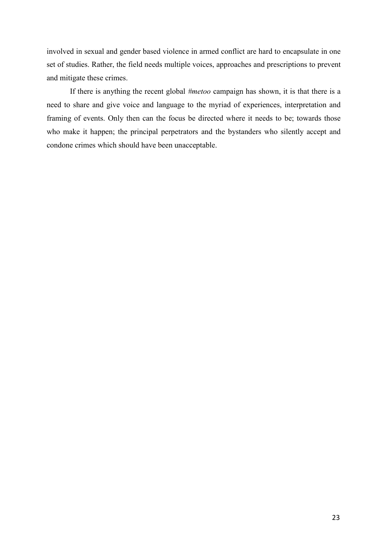involved in sexual and gender based violence in armed conflict are hard to encapsulate in one set of studies. Rather, the field needs multiple voices, approaches and prescriptions to prevent and mitigate these crimes.

If there is anything the recent global *#metoo* campaign has shown, it is that there is a need to share and give voice and language to the myriad of experiences, interpretation and framing of events. Only then can the focus be directed where it needs to be; towards those who make it happen; the principal perpetrators and the bystanders who silently accept and condone crimes which should have been unacceptable.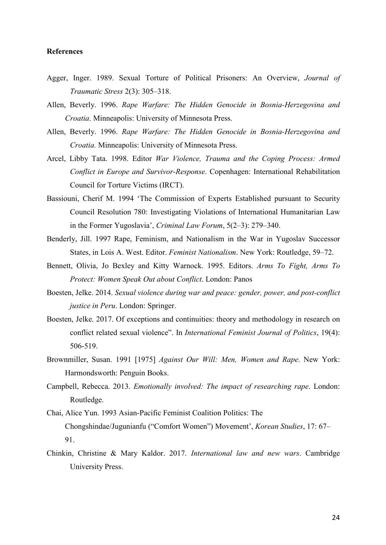## **References**

- Agger, Inger. 1989. Sexual Torture of Political Prisoners: An Overview, *Journal of Traumatic Stress* 2(3): 305–318.
- Allen, Beverly. 1996. *Rape Warfare: The Hidden Genocide in Bosnia-Herzegovina and Croatia*. Minneapolis: University of Minnesota Press.
- Allen, Beverly. 1996. *Rape Warfare: The Hidden Genocide in Bosnia-Herzegovina and Croatia.* Minneapolis: University of Minnesota Press.
- Arcel, Libby Tata. 1998. Editor *War Violence, Trauma and the Coping Process: Armed Conflict in Europe and Survivor-Response*. Copenhagen: International Rehabilitation Council for Torture Victims (IRCT).
- Bassiouni, Cherif M. 1994 'The Commission of Experts Established pursuant to Security Council Resolution 780: Investigating Violations of International Humanitarian Law in the Former Yugoslavia', *Criminal Law Forum*, 5(2–3): 279–340.
- Benderly, Jill. 1997 Rape, Feminism, and Nationalism in the War in Yugoslav Successor States, in Lois A. West. Editor. *Feminist Nationalism*. New York: Routledge, 59–72.
- Bennett, Olivia, Jo Bexley and Kitty Warnock. 1995. Editors. *Arms To Fight, Arms To Protect: Women Speak Out about Conflict*. London: Panos
- Boesten, Jelke. 2014. *Sexual violence during war and peace: gender, power, and post-conflict justice in Peru*. London: Springer.
- Boesten, Jelke. 2017. Of exceptions and continuities: theory and methodology in research on conflict related sexual violence". In *International Feminist Journal of Politics*, 19(4): 506-519.
- Brownmiller, Susan. 1991 [1975] *Against Our Will: Men, Women and Rape*. New York: Harmondsworth: Penguin Books.
- Campbell, Rebecca. 2013. *Emotionally involved: The impact of researching rape*. London: Routledge.
- Chai, Alice Yun. 1993 Asian-Pacific Feminist Coalition Politics: The Chongshindae/Jugunianfu ("Comfort Women") Movement', *Korean Studies*, 17: 67– 91.
- Chinkin, Christine & Mary Kaldor. 2017. *International law and new wars*. Cambridge University Press.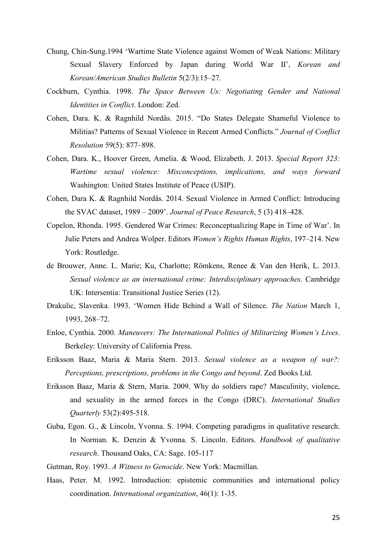- Chung, Chin-Sung.1994 'Wartime State Violence against Women of Weak Nations: Military Sexual Slavery Enforced by Japan during World War II', *Korean and Korean/American Studies Bulletin* 5(2/3):15–27.
- Cockburn, Cynthia. 1998. *The Space Between Us: Negotiating Gender and National Identities in Conflict*. London: Zed.
- Cohen, Dara. K. & Ragnhild Nordås. 2015. "Do States Delegate Shameful Violence to Militias? Patterns of Sexual Violence in Recent Armed Conflicts." *Journal of Conflict Resolution* 59(5): 877–898.
- Cohen, Dara. K., Hoover Green, Amelia. & Wood, Elizabeth. J. 2013. *Special Report 323: Wartime sexual violence: Misconceptions, implications, and ways forward*  Washington: United States Institute of Peace (USIP).
- Cohen, Dara K. & Ragnhild Nordås. 2014. Sexual Violence in Armed Conflict: Introducing the SVAC dataset, 1989 – 2009'. *Journal of Peace Research*, 5 (3) 418–428.
- Copelon, Rhonda. 1995. Gendered War Crimes: Reconceptualizing Rape in Time of War'. In Julie Peters and Andrea Wolper. Editors *Women's Rights Human Rights*, 197–214. New York: Routledge.
- de Brouwer, Anne. L. Marie; Ku, Charlotte; Römkens, Renee & Van den Herik, L. 2013. *Sexual violence as an international crime: Interdisciplinary approaches*. Cambridge UK: Intersentia: Transitional Justice Series (12).
- Drakulic, Slavenka. 1993. 'Women Hide Behind a Wall of Silence. *The Nation* March 1, 1993, 268–72.
- Enloe, Cynthia. 2000. *Maneuvers: The International Politics of Militarizing Women's Lives*. Berkeley: University of California Press.
- Eriksson Baaz, Maria & Maria Stern. 2013. *Sexual violence as a weapon of war?: Perceptions, prescriptions, problems in the Congo and beyond*. Zed Books Ltd.
- Eriksson Baaz, Maria & Stern, Maria. 2009. Why do soldiers rape? Masculinity, violence, and sexuality in the armed forces in the Congo (DRC). *International Studies Quarterly* 53(2):495-518.
- Guba, Egon. G., & Lincoln, Yvonna. S. 1994. Competing paradigms in qualitative research. In Norman. K. Denzin & Yvonna. S. Lincoln. Editors. *Handbook of qualitative research*. Thousand Oaks, CA: Sage. 105-117
- Gutman, Roy. 1993. *A Witness to Genocide*. New York: Macmillan.
- Haas, Peter. M. 1992. Introduction: epistemic communities and international policy coordination. *International organization*, 46(1): 1-35.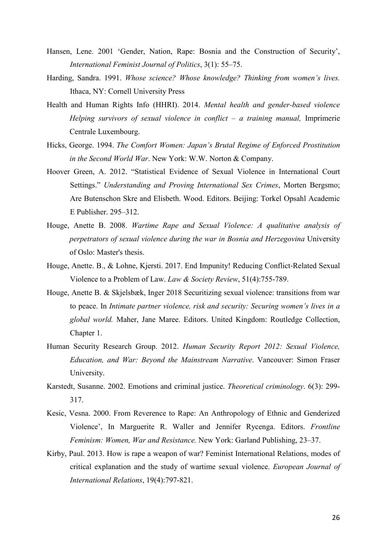- Hansen, Lene. 2001 'Gender, Nation, Rape: Bosnia and the Construction of Security', *International Feminist Journal of Politics*, 3(1): 55–75.
- Harding, Sandra. 1991. *Whose science? Whose knowledge? Thinking from women's lives.* Ithaca, NY: Cornell University Press
- Health and Human Rights Info (HHRI). 2014. *Mental health and gender-based violence Helping survivors of sexual violence in conflict – a training manual,* Imprimerie Centrale Luxembourg.
- Hicks, George. 1994. *The Comfort Women: Japan's Brutal Regime of Enforced Prostitution in the Second World War*. New York: W.W. Norton & Company.
- Hoover Green, A. 2012. "Statistical Evidence of Sexual Violence in International Court Settings." *Understanding and Proving International Sex Crimes*, Morten Bergsmo; Are Butenschon Skre and Elisbeth. Wood. Editors. Beijing: Torkel Opsahl Academic E Publisher. 295–312.
- Houge, Anette B. 2008. *Wartime Rape and Sexual Violence: A qualitative analysis of perpetrators of sexual violence during the war in Bosnia and Herzegovina* University of Oslo: Master's thesis.
- Houge, Anette. B., & Lohne, Kjersti. 2017. End Impunity! Reducing Conflict‐Related Sexual Violence to a Problem of Law. *Law & Society Review*, 51(4):755-789.
- Houge, Anette B. & Skjelsbæk, Inger 2018 Securitizing sexual violence: transitions from war to peace. In *Intimate partner violence, risk and security: Securing women's lives in a global world.* Maher, Jane Maree. Editors. United Kingdom: Routledge Collection, Chapter 1.
- Human Security Research Group. 2012. *Human Security Report 2012: Sexual Violence, Education, and War: Beyond the Mainstream Narrative*. Vancouver: Simon Fraser University.
- Karstedt, Susanne. 2002. Emotions and criminal justice. *Theoretical criminology*. 6(3): 299- 317.
- Kesic, Vesna. 2000. From Reverence to Rape: An Anthropology of Ethnic and Genderized Violence', In Marguerite R. Waller and Jennifer Rycenga. Editors. *Frontline Feminism: Women, War and Resistance.* New York: Garland Publishing, 23–37.
- Kirby, Paul. 2013. How is rape a weapon of war? Feminist International Relations, modes of critical explanation and the study of wartime sexual violence. *European Journal of International Relations*, 19(4):797-821.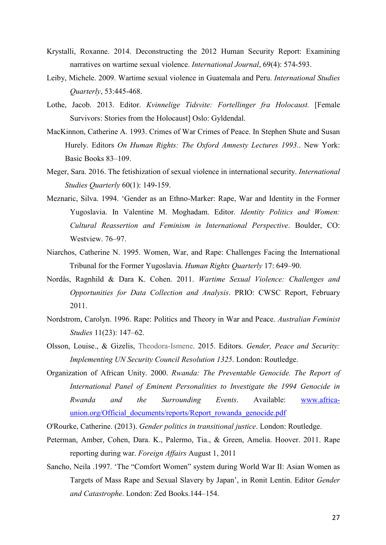- Krystalli, Roxanne. 2014. Deconstructing the 2012 Human Security Report: Examining narratives on wartime sexual violence. *International Journal*, 69(4): 574-593.
- Leiby, Michele. 2009. Wartime sexual violence in Guatemala and Peru. *International Studies Quarterly*, 53:445-468.
- Lothe, Jacob. 2013. Editor. *Kvinnelige Tidsvite: Fortellinger fra Holocaust.* [Female Survivors: Stories from the Holocaust] Oslo: Gyldendal.
- MacKinnon, Catherine A. 1993. Crimes of War Crimes of Peace. In Stephen Shute and Susan Hurely. Editors *On Human Rights: The Oxford Amnesty Lectures 1993.*. New York: Basic Books 83–109.
- Meger, Sara. 2016. The fetishization of sexual violence in international security. *International Studies Quarterly* 60(1): 149-159.
- Meznaric, Silva. 1994. 'Gender as an Ethno-Marker: Rape, War and Identity in the Former Yugoslavia. In Valentine M. Moghadam. Editor. *Identity Politics and Women: Cultural Reassertion and Feminism in International Perspective*. Boulder, CO: Westview. 76–97.
- Niarchos, Catherine N. 1995. Women, War, and Rape: Challenges Facing the International Tribunal for the Former Yugoslavia. *Human Rights Quarterly* 17: 649–90.
- Nordås, Ragnhild & Dara K. Cohen. 2011. *Wartime Sexual Violence: Challenges and Opportunities for Data Collection and Analysis*. PRIO: CWSC Report, February 2011.
- Nordstrom, Carolyn. 1996. Rape: Politics and Theory in War and Peace. *Australian Feminist Studies* 11(23): 147–62.
- Olsson, Louise., & Gizelis, Theodora-Ismene. 2015. Editors. *Gender, Peace and Security: Implementing UN Security Council Resolution 1325*. London: Routledge.
- Organization of African Unity. 2000. *Rwanda: The Preventable Genocide. The Report of International Panel of Eminent Personalities to Investigate the 1994 Genocide in Rwanda and the Surrounding Events*. Available: [www.africa](http://www.africa-union.org/Official_documents/reports/Report_rowanda_genocide.pdf)[union.org/Official\\_documents/reports/Report\\_rowanda\\_genocide.pdf](http://www.africa-union.org/Official_documents/reports/Report_rowanda_genocide.pdf)
- O'Rourke, Catherine. (2013). *Gender politics in transitional justice*. London: Routledge.
- Peterman, Amber, Cohen, Dara. K., Palermo, Tia., & Green, Amelia. Hoover. 2011. Rape reporting during war. *Foreign Affairs* August 1, 2011
- Sancho, Neila .1997. 'The "Comfort Women" system during World War II: Asian Women as Targets of Mass Rape and Sexual Slavery by Japan', in Ronit Lentin. Editor *Gender and Catastrophe*. London: Zed Books.144–154.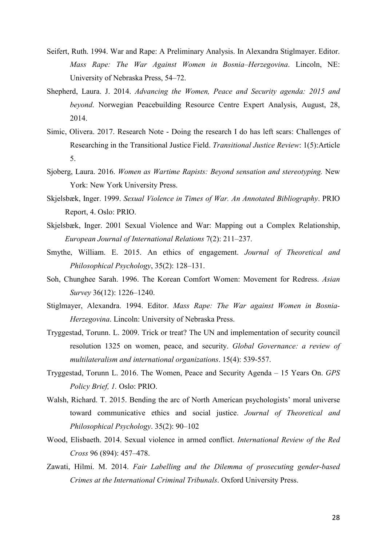- Seifert, Ruth. 1994. War and Rape: A Preliminary Analysis. In Alexandra Stiglmayer. Editor. *Mass Rape: The War Against Women in Bosnia–Herzegovina*. Lincoln, NE: University of Nebraska Press, 54–72.
- Shepherd, Laura. J. 2014. *Advancing the Women, Peace and Security agenda: 2015 and beyond*. Norwegian Peacebuilding Resource Centre Expert Analysis, August, 28, 2014.
- Simic, Olivera. 2017. Research Note Doing the research I do has left scars: Challenges of Researching in the Transitional Justice Field. *Transitional Justice Review*: 1(5):Article 5.
- Sjoberg, Laura. 2016. *Women as Wartime Rapists: Beyond sensation and stereotyping.* New York: New York University Press.
- Skjelsbæk, Inger. 1999. *Sexual Violence in Times of War. An Annotated Bibliography*. PRIO Report, 4. Oslo: PRIO.
- Skjelsbæk, Inger. 2001 Sexual Violence and War: Mapping out a Complex Relationship, *European Journal of International Relations* 7(2): 211–237.
- Smythe, William. E. 2015. An ethics of engagement. *Journal of Theoretical and Philosophical Psychology*, 35(2): 128–131.
- Soh, Chunghee Sarah. 1996. The Korean Comfort Women: Movement for Redress. *Asian Survey* 36(12): 1226–1240.
- Stiglmayer, Alexandra. 1994. Editor. *Mass Rape: The War against Women in Bosnia-Herzegovina*. Lincoln: University of Nebraska Press.
- Tryggestad, Torunn. L. 2009. Trick or treat? The UN and implementation of security council resolution 1325 on women, peace, and security. *Global Governance: a review of multilateralism and international organizations*. 15(4): 539-557.
- Tryggestad, Torunn L. 2016. The Women, Peace and Security Agenda 15 Years On. *GPS Policy Brief, 1.* Oslo: PRIO.
- Walsh, Richard. T. 2015. Bending the arc of North American psychologists' moral universe toward communicative ethics and social justice. *Journal of Theoretical and Philosophical Psychology*. 35(2): 90–102
- Wood, Elisbaeth. 2014. Sexual violence in armed conflict. *International Review of the Red Cross* 96 (894): 457–478.
- Zawati, Hilmi. M. 2014. *Fair Labelling and the Dilemma of prosecuting gender-based Crimes at the International Criminal Tribunals*. Oxford University Press.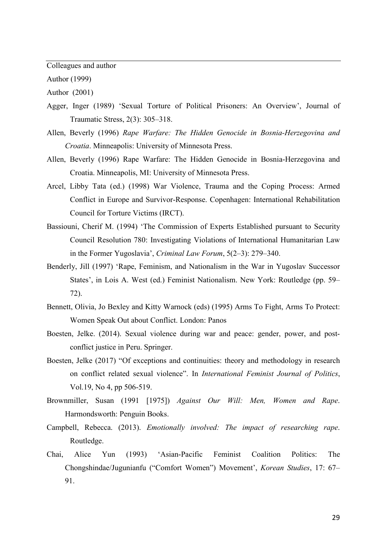Colleagues and author

Author (1999)

Author (2001)

- Agger, Inger (1989) 'Sexual Torture of Political Prisoners: An Overview', Journal of Traumatic Stress, 2(3): 305–318.
- Allen, Beverly (1996) *Rape Warfare: The Hidden Genocide in Bosnia-Herzegovina and Croatia*. Minneapolis: University of Minnesota Press.
- Allen, Beverly (1996) Rape Warfare: The Hidden Genocide in Bosnia-Herzegovina and Croatia. Minneapolis, MI: University of Minnesota Press.
- Arcel, Libby Tata (ed.) (1998) War Violence, Trauma and the Coping Process: Armed Conflict in Europe and Survivor-Response. Copenhagen: International Rehabilitation Council for Torture Victims (IRCT).
- Bassiouni, Cherif M. (1994) 'The Commission of Experts Established pursuant to Security Council Resolution 780: Investigating Violations of International Humanitarian Law in the Former Yugoslavia', *Criminal Law Forum*, 5(2–3): 279–340.
- Benderly, Jill (1997) 'Rape, Feminism, and Nationalism in the War in Yugoslav Successor States', in Lois A. West (ed.) Feminist Nationalism. New York: Routledge (pp. 59– 72).
- Bennett, Olivia, Jo Bexley and Kitty Warnock (eds) (1995) Arms To Fight, Arms To Protect: Women Speak Out about Conflict. London: Panos
- Boesten, Jelke. (2014). Sexual violence during war and peace: gender, power, and postconflict justice in Peru. Springer.
- Boesten, Jelke (2017) "Of exceptions and continuities: theory and methodology in research on conflict related sexual violence". In *International Feminist Journal of Politics*, Vol.19, No 4, pp 506-519.
- Brownmiller, Susan (1991 [1975]) *Against Our Will: Men, Women and Rape*. Harmondsworth: Penguin Books.
- Campbell, Rebecca. (2013). *Emotionally involved: The impact of researching rape*. Routledge.
- Chai, Alice Yun (1993) 'Asian-Pacific Feminist Coalition Politics: The Chongshindae/Jugunianfu ("Comfort Women") Movement', *Korean Studies*, 17: 67– 91.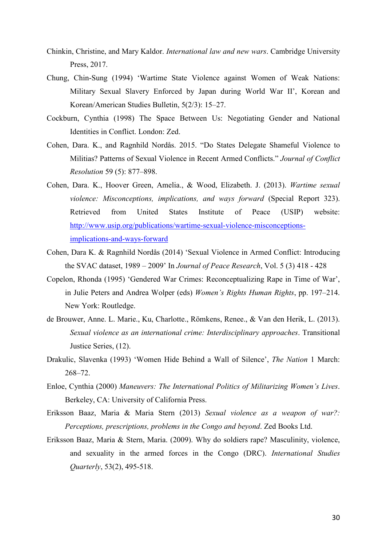- Chinkin, Christine, and Mary Kaldor. *International law and new wars*. Cambridge University Press, 2017.
- Chung, Chin-Sung (1994) 'Wartime State Violence against Women of Weak Nations: Military Sexual Slavery Enforced by Japan during World War II', Korean and Korean/American Studies Bulletin, 5(2/3): 15–27.
- Cockburn, Cynthia (1998) The Space Between Us: Negotiating Gender and National Identities in Conflict. London: Zed.
- Cohen, Dara. K., and Ragnhild Nordås. 2015. "Do States Delegate Shameful Violence to Militias? Patterns of Sexual Violence in Recent Armed Conflicts." *Journal of Conflict Resolution* 59 (5): 877–898.
- Cohen, Dara. K., Hoover Green, Amelia., & Wood, Elizabeth. J. (2013). *Wartime sexual violence: Misconceptions, implications, and ways forward* (Special Report 323). Retrieved from United States Institute of Peace (USIP) website: [http://www.usip.org/publications/wartime-sexual-violence-misconceptions](http://www.usip.org/publications/wartime-sexual-violence-misconceptions-implications-and-ways-forward)[implications-and-ways-forward](http://www.usip.org/publications/wartime-sexual-violence-misconceptions-implications-and-ways-forward)
- Cohen, Dara K. & Ragnhild Nordås (2014) 'Sexual Violence in Armed Conflict: Introducing the SVAC dataset, 1989 – 2009' In *Journal of Peace Research*, Vol. 5 (3) 418 - 428
- Copelon, Rhonda (1995) 'Gendered War Crimes: Reconceptualizing Rape in Time of War', in Julie Peters and Andrea Wolper (eds) *Women's Rights Human Rights*, pp. 197–214. New York: Routledge.
- de Brouwer, Anne. L. Marie., Ku, Charlotte., Römkens, Renee., & Van den Herik, L. (2013). *Sexual violence as an international crime: Interdisciplinary approaches*. Transitional Justice Series, (12).
- Drakulic, Slavenka (1993) 'Women Hide Behind a Wall of Silence', *The Nation* 1 March: 268–72.
- Enloe, Cynthia (2000) *Maneuvers: The International Politics of Militarizing Women's Lives*. Berkeley, CA: University of California Press.
- Eriksson Baaz, Maria & Maria Stern (2013) *Sexual violence as a weapon of war?: Perceptions, prescriptions, problems in the Congo and beyond*. Zed Books Ltd.
- Eriksson Baaz, Maria & Stern, Maria. (2009). Why do soldiers rape? Masculinity, violence, and sexuality in the armed forces in the Congo (DRC). *International Studies Quarterly*, 53(2), 495-518.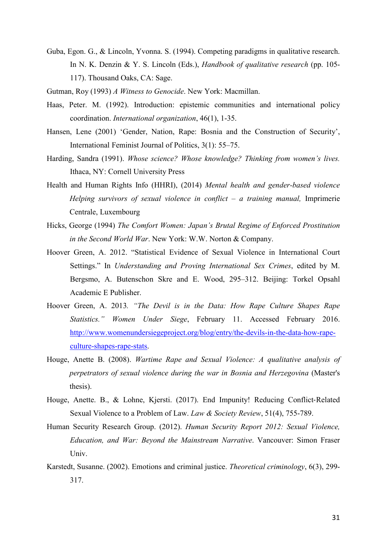- Guba, Egon. G., & Lincoln, Yvonna. S. (1994). Competing paradigms in qualitative research. In N. K. Denzin & Y. S. Lincoln (Eds.), *Handbook of qualitative research* (pp. 105- 117). Thousand Oaks, CA: Sage.
- Gutman, Roy (1993) *A Witness to Genocide*. New York: Macmillan.
- Haas, Peter. M. (1992). Introduction: epistemic communities and international policy coordination. *International organization*, 46(1), 1-35.
- Hansen, Lene (2001) 'Gender, Nation, Rape: Bosnia and the Construction of Security', International Feminist Journal of Politics, 3(1): 55–75.
- Harding, Sandra (1991). *Whose science? Whose knowledge? Thinking from women's lives.* Ithaca, NY: Cornell University Press
- Health and Human Rights Info (HHRI), (2014) *Mental health and gender-based violence Helping survivors of sexual violence in conflict – a training manual,* Imprimerie Centrale, Luxembourg
- Hicks, George (1994) *The Comfort Women: Japan's Brutal Regime of Enforced Prostitution in the Second World War*. New York: W.W. Norton & Company.
- Hoover Green, A. 2012. "Statistical Evidence of Sexual Violence in International Court Settings." In *Understanding and Proving International Sex Crimes*, edited by M. Bergsmo, A. Butenschon Skre and E. Wood, 295–312. Beijing: Torkel Opsahl Academic E Publisher.
- Hoover Green, A. 2013*. "The Devil is in the Data: How Rape Culture Shapes Rape Statistics." Women Under Siege*, February 11. Accessed February 2016. [http://www.womenundersiegeproject.org/blog/entry/the-devils-in-the-data-how-rape](http://www.womenundersiegeproject.org/blog/entry/the-devils-in-the-data-how-rape-culture-shapes-rape-stats)[culture-shapes-rape-stats.](http://www.womenundersiegeproject.org/blog/entry/the-devils-in-the-data-how-rape-culture-shapes-rape-stats)
- Houge, Anette B. (2008). *Wartime Rape and Sexual Violence: A qualitative analysis of perpetrators of sexual violence during the war in Bosnia and Herzegovina* (Master's thesis).
- Houge, Anette. B., & Lohne, Kjersti. (2017). End Impunity! Reducing Conflict-Related Sexual Violence to a Problem of Law. *Law & Society Review*, 51(4), 755-789.
- Human Security Research Group. (2012). *Human Security Report 2012: Sexual Violence, Education, and War: Beyond the Mainstream Narrative*. Vancouver: Simon Fraser Univ.
- Karstedt, Susanne. (2002). Emotions and criminal justice. *Theoretical criminology*, 6(3), 299- 317.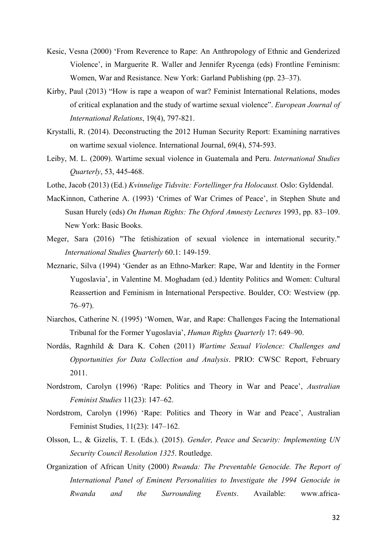- Kesic, Vesna (2000) 'From Reverence to Rape: An Anthropology of Ethnic and Genderized Violence', in Marguerite R. Waller and Jennifer Rycenga (eds) Frontline Feminism: Women, War and Resistance. New York: Garland Publishing (pp. 23–37).
- Kirby, Paul (2013) "How is rape a weapon of war? Feminist International Relations, modes of critical explanation and the study of wartime sexual violence". *European Journal of International Relations*, 19(4), 797-821.
- Krystalli, R. (2014). Deconstructing the 2012 Human Security Report: Examining narratives on wartime sexual violence. International Journal, 69(4), 574-593.
- Leiby, M. L. (2009). Wartime sexual violence in Guatemala and Peru. *International Studies Quarterly*, 53, 445-468.
- Lothe, Jacob (2013) (Ed.) *Kvinnelige Tidsvite: Fortellinger fra Holocaust.* Oslo: Gyldendal.
- MacKinnon, Catherine A. (1993) 'Crimes of War Crimes of Peace', in Stephen Shute and Susan Hurely (eds) *On Human Rights: The Oxford Amnesty Lectures* 1993, pp. 83–109. New York: Basic Books.
- Meger, Sara (2016) "The fetishization of sexual violence in international security." *International Studies Quarterly* 60.1: 149-159.
- Meznaric, Silva (1994) 'Gender as an Ethno-Marker: Rape, War and Identity in the Former Yugoslavia', in Valentine M. Moghadam (ed.) Identity Politics and Women: Cultural Reassertion and Feminism in International Perspective. Boulder, CO: Westview (pp. 76–97).
- Niarchos, Catherine N. (1995) 'Women, War, and Rape: Challenges Facing the International Tribunal for the Former Yugoslavia', *Human Rights Quarterly* 17: 649–90.
- Nordås, Ragnhild & Dara K. Cohen (2011) *Wartime Sexual Violence: Challenges and Opportunities for Data Collection and Analysis*. PRIO: CWSC Report, February 2011.
- Nordstrom, Carolyn (1996) 'Rape: Politics and Theory in War and Peace', *Australian Feminist Studies* 11(23): 147–62.
- Nordstrom, Carolyn (1996) 'Rape: Politics and Theory in War and Peace', Australian Feminist Studies, 11(23): 147–162.
- Olsson, L., & Gizelis, T. I. (Eds.). (2015). *Gender, Peace and Security: Implementing UN Security Council Resolution 1325*. Routledge.
- Organization of African Unity (2000) *Rwanda: The Preventable Genocide. The Report of International Panel of Eminent Personalities to Investigate the 1994 Genocide in Rwanda and the Surrounding Events*. Available: www.africa-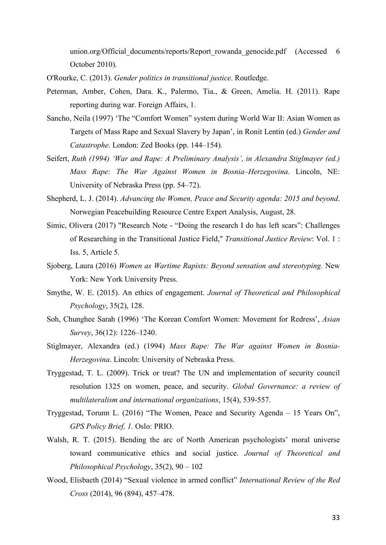union.org/Official documents/reports/Report rowanda genocide.pdf (Accessed 6 October 2010).

- O'Rourke, C. (2013). *Gender politics in transitional justice*. Routledge.
- Peterman, Amber, Cohen, Dara. K., Palermo, Tia., & Green, Amelia. H. (2011). Rape reporting during war. Foreign Affairs, 1.
- Sancho, Neila (1997) 'The "Comfort Women" system during World War II: Asian Women as Targets of Mass Rape and Sexual Slavery by Japan', in Ronit Lentin (ed.) *Gender and Catastrophe*. London: Zed Books (pp. 144–154).
- Seifert, *Ruth (1994) 'War and Rape: A Preliminary Analysis', in Alexandra Stiglmayer (ed.) Mass Rape: The War Against Women in Bosnia–Herzegovina*. Lincoln, NE: University of Nebraska Press (pp. 54–72).
- Shepherd, L. J. (2014). *Advancing the Women, Peace and Security agenda: 2015 and beyond*. Norwegian Peacebuilding Resource Centre Expert Analysis, August, 28.
- Simic, Olivera (2017) "Research Note "Doing the research I do has left scars": Challenges of Researching in the Transitional Justice Field," *Transitional Justice Review*: Vol. 1 : Iss. 5, Article 5.
- Sjoberg, Laura (2016) *Women as Wartime Rapists: Beyond sensation and stereotyping.* New York: New York University Press.
- Smythe, W. E. (2015). An ethics of engagement. *Journal of Theoretical and Philosophical Psychology*, 35(2), 128.
- Soh, Chunghee Sarah (1996) 'The Korean Comfort Women: Movement for Redress', *Asian Survey*, 36(12): 1226–1240.
- Stiglmayer, Alexandra (ed.) (1994) *Mass Rape: The War against Women in Bosnia-Herzegovina*. Lincoln: University of Nebraska Press.
- Tryggestad, T. L. (2009). Trick or treat? The UN and implementation of security council resolution 1325 on women, peace, and security. *Global Governance: a review of multilateralism and international organizations*, 15(4), 539-557.
- Tryggestad, Torunn L. (2016) "The Women, Peace and Security Agenda 15 Years On", *GPS Policy Brief, 1.* Oslo: PRIO.
- Walsh, R. T. (2015). Bending the arc of North American psychologists' moral universe toward communicative ethics and social justice. *Journal of Theoretical and Philosophical Psychology*, 35(2), 90 – 102
- Wood, Elisbaeth (2014) "Sexual violence in armed conflict" *International Review of the Red Cross* (2014), 96 (894), 457–478.